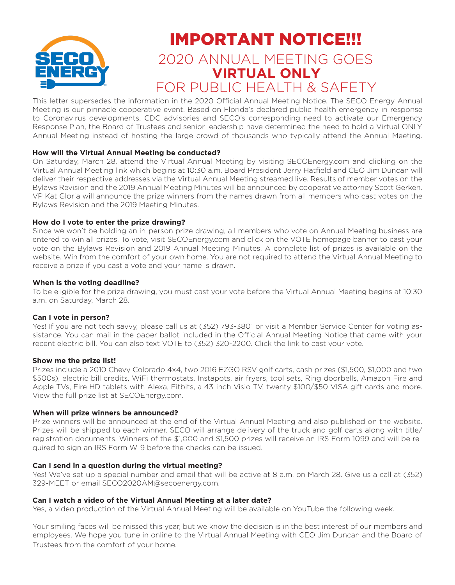

## IMPORTANT NOTICE!!!

### 2020 ANNUAL MEETING GOES **VIRTUAL ONLY** FOR PUBLIC HEALTH & SAFETY

This letter supersedes the information in the 2020 Official Annual Meeting Notice. The SECO Energy Annual Meeting is our pinnacle cooperative event. Based on Florida's declared public health emergency in response to Coronavirus developments, CDC advisories and SECO's corresponding need to activate our Emergency Response Plan, the Board of Trustees and senior leadership have determined the need to hold a Virtual ONLY Annual Meeting instead of hosting the large crowd of thousands who typically attend the Annual Meeting.

#### **How will the Virtual Annual Meeting be conducted?**

On Saturday, March 28, attend the Virtual Annual Meeting by visiting SECOEnergy.com and clicking on the Virtual Annual Meeting link which begins at 10:30 a.m. Board President Jerry Hatfield and CEO Jim Duncan will deliver their respective addresses via the Virtual Annual Meeting streamed live. Results of member votes on the Bylaws Revision and the 2019 Annual Meeting Minutes will be announced by cooperative attorney Scott Gerken. VP Kat Gloria will announce the prize winners from the names drawn from all members who cast votes on the Bylaws Revision and the 2019 Meeting Minutes.

#### **How do I vote to enter the prize drawing?**

Since we won't be holding an in-person prize drawing, all members who vote on Annual Meeting business are entered to win all prizes. To vote, visit SECOEnergy.com and click on the VOTE homepage banner to cast your vote on the Bylaws Revision and 2019 Annual Meeting Minutes. A complete list of prizes is available on the website. Win from the comfort of your own home. You are not required to attend the Virtual Annual Meeting to receive a prize if you cast a vote and your name is drawn.

#### **When is the voting deadline?**

To be eligible for the prize drawing, you must cast your vote before the Virtual Annual Meeting begins at 10:30 a.m. on Saturday, March 28.

#### **Can I vote in person?**

Yes! If you are not tech savvy, please call us at (352) 793-3801 or visit a Member Service Center for voting assistance. You can mail in the paper ballot included in the Official Annual Meeting Notice that came with your recent electric bill. You can also text VOTE to (352) 320-2200. Click the link to cast your vote.

#### **Show me the prize list!**

Prizes include a 2010 Chevy Colorado 4x4, two 2016 EZGO RSV golf carts, cash prizes (\$1,500, \$1,000 and two \$500s), electric bill credits, WiFi thermostats, Instapots, air fryers, tool sets, Ring doorbells, Amazon Fire and Apple TVs, Fire HD tablets with Alexa, Fitbits, a 43-inch Visio TV, twenty \$100/\$50 VISA gift cards and more. View the full prize list at SECOEnergy.com.

#### **When will prize winners be announced?**

Prize winners will be announced at the end of the Virtual Annual Meeting and also published on the website. Prizes will be shipped to each winner. SECO will arrange delivery of the truck and golf carts along with title/ registration documents. Winners of the \$1,000 and \$1,500 prizes will receive an IRS Form 1099 and will be required to sign an IRS Form W-9 before the checks can be issued.

#### **Can I send in a question during the virtual meeting?**

Yes! We've set up a special number and email that will be active at 8 a.m. on March 28. Give us a call at (352) 329-MEET or email SECO2020AM@secoenergy.com.

#### **Can I watch a video of the Virtual Annual Meeting at a later date?**

Yes, a video production of the Virtual Annual Meeting will be available on YouTube the following week.

Your smiling faces will be missed this year, but we know the decision is in the best interest of our members and employees. We hope you tune in online to the Virtual Annual Meeting with CEO Jim Duncan and the Board of Trustees from the comfort of your home.